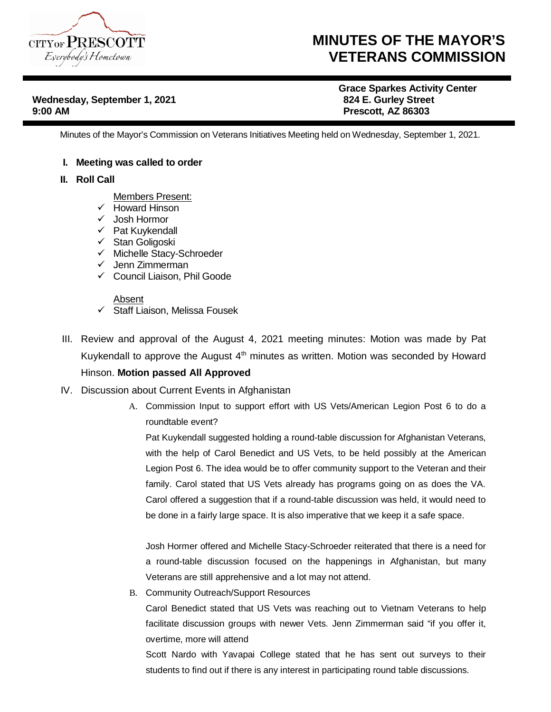

## **MINUTES OF THE MAYOR'S VETERANS COMMISSION**

**Wednesday, September 1, 2021 824 E. Gurley Street 9:00 AM Prescott, AZ 86303**

**Grace Sparkes Activity Center**

Minutes of the Mayor's Commission on Veterans Initiatives Meeting held on Wednesday, September 1, 2021.

## **I. Meeting was called to order**

- **II. Roll Call**
	- Members Present:
	- $\checkmark$  Howard Hinson
	- Josh Hormor
	- $\checkmark$  Pat Kuykendall
	- $\checkmark$  Stan Goligoski
	- $\checkmark$  Michelle Stacy-Schroeder
	- $\checkmark$  Jenn Zimmerman
	- Council Liaison, Phil Goode

## Absent

- $\checkmark$  Staff Liaison, Melissa Fousek
- III. Review and approval of the August 4, 2021 meeting minutes: Motion was made by Pat Kuykendall to approve the August  $4<sup>th</sup>$  minutes as written. Motion was seconded by Howard Hinson. **Motion passed All Approved**
- IV. Discussion about Current Events in Afghanistan
	- A. Commission Input to support effort with US Vets/American Legion Post 6 to do a roundtable event?

Pat Kuykendall suggested holding a round-table discussion for Afghanistan Veterans, with the help of Carol Benedict and US Vets, to be held possibly at the American Legion Post 6. The idea would be to offer community support to the Veteran and their family. Carol stated that US Vets already has programs going on as does the VA. Carol offered a suggestion that if a round-table discussion was held, it would need to be done in a fairly large space. It is also imperative that we keep it a safe space.

Josh Hormer offered and Michelle Stacy-Schroeder reiterated that there is a need for a round-table discussion focused on the happenings in Afghanistan, but many Veterans are still apprehensive and a lot may not attend.

B. Community Outreach/Support Resources

Carol Benedict stated that US Vets was reaching out to Vietnam Veterans to help facilitate discussion groups with newer Vets. Jenn Zimmerman said "if you offer it, overtime, more will attend

Scott Nardo with Yavapai College stated that he has sent out surveys to their students to find out if there is any interest in participating round table discussions.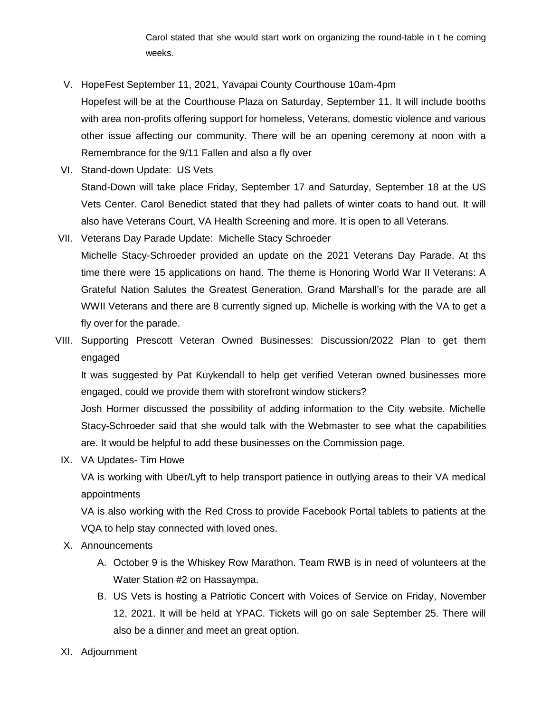Carol stated that she would start work on organizing the round-table in t he coming weeks.

V. HopeFest September 11, 2021, Yavapai County Courthouse 10am-4pm

- Hopefest will be at the Courthouse Plaza on Saturday, September 11. It will include booths with area non-profits offering support for homeless, Veterans, domestic violence and various other issue affecting our community. There will be an opening ceremony at noon with a Remembrance for the 9/11 Fallen and also a fly over
- VI. Stand-down Update: US Vets Stand-Down will take place Friday, September 17 and Saturday, September 18 at the US Vets Center. Carol Benedict stated that they had pallets of winter coats to hand out. It will also have Veterans Court, VA Health Screening and more. It is open to all Veterans.
- VII. Veterans Day Parade Update: Michelle Stacy Schroeder Michelle Stacy-Schroeder provided an update on the 2021 Veterans Day Parade. At ths time there were 15 applications on hand. The theme is Honoring World War II Veterans: A Grateful Nation Salutes the Greatest Generation. Grand Marshall's for the parade are all WWII Veterans and there are 8 currently signed up. Michelle is working with the VA to get a fly over for the parade.
- VIII. Supporting Prescott Veteran Owned Businesses: Discussion/2022 Plan to get them engaged

It was suggested by Pat Kuykendall to help get verified Veteran owned businesses more engaged, could we provide them with storefront window stickers?

Josh Hormer discussed the possibility of adding information to the City website. Michelle Stacy-Schroeder said that she would talk with the Webmaster to see what the capabilities are. It would be helpful to add these businesses on the Commission page.

IX. VA Updates- Tim Howe

VA is working with Uber/Lyft to help transport patience in outlying areas to their VA medical appointments

VA is also working with the Red Cross to provide Facebook Portal tablets to patients at the VQA to help stay connected with loved ones.

- X. Announcements
	- A. October 9 is the Whiskey Row Marathon. Team RWB is in need of volunteers at the Water Station #2 on Hassaympa.
	- B. US Vets is hosting a Patriotic Concert with Voices of Service on Friday, November 12, 2021. It will be held at YPAC. Tickets will go on sale September 25. There will also be a dinner and meet an great option.
- XI. Adjournment